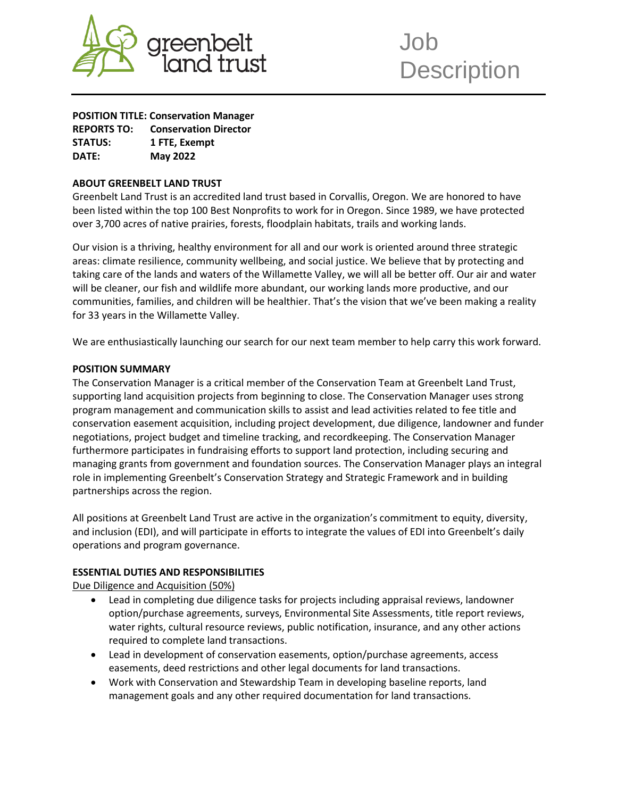

Job **Description** 

**POSITION TITLE: Conservation Manager REPORTS TO: Conservation Director STATUS: 1 FTE, Exempt DATE: May 2022**

# **ABOUT GREENBELT LAND TRUST**

Greenbelt Land Trust is an accredited land trust based in Corvallis, Oregon. We are honored to have been listed within the top 100 Best Nonprofits to work for in Oregon. Since 1989, we have protected over 3,700 acres of native prairies, forests, floodplain habitats, trails and working lands.

Our vision is a thriving, healthy environment for all and our work is oriented around three strategic areas: climate resilience, community wellbeing, and social justice. We believe that by protecting and taking care of the lands and waters of the Willamette Valley, we will all be better off. Our air and water will be cleaner, our fish and wildlife more abundant, our working lands more productive, and our communities, families, and children will be healthier. That's the vision that we've been making a reality for 33 years in the Willamette Valley.

We are enthusiastically launching our search for our next team member to help carry this work forward.

# **POSITION SUMMARY**

The Conservation Manager is a critical member of the Conservation Team at Greenbelt Land Trust, supporting land acquisition projects from beginning to close. The Conservation Manager uses strong program management and communication skills to assist and lead activities related to fee title and conservation easement acquisition, including project development, due diligence, landowner and funder negotiations, project budget and timeline tracking, and recordkeeping. The Conservation Manager furthermore participates in fundraising efforts to support land protection, including securing and managing grants from government and foundation sources. The Conservation Manager plays an integral role in implementing Greenbelt's Conservation Strategy and Strategic Framework and in building partnerships across the region.

All positions at Greenbelt Land Trust are active in the organization's commitment to equity, diversity, and inclusion (EDI), and will participate in efforts to integrate the values of EDI into Greenbelt's daily operations and program governance.

# **ESSENTIAL DUTIES AND RESPONSIBILITIES**

Due Diligence and Acquisition (50%)

- Lead in completing due diligence tasks for projects including appraisal reviews, landowner option/purchase agreements, surveys, Environmental Site Assessments, title report reviews, water rights, cultural resource reviews, public notification, insurance, and any other actions required to complete land transactions.
- Lead in development of conservation easements, option/purchase agreements, access easements, deed restrictions and other legal documents for land transactions.
- Work with Conservation and Stewardship Team in developing baseline reports, land management goals and any other required documentation for land transactions.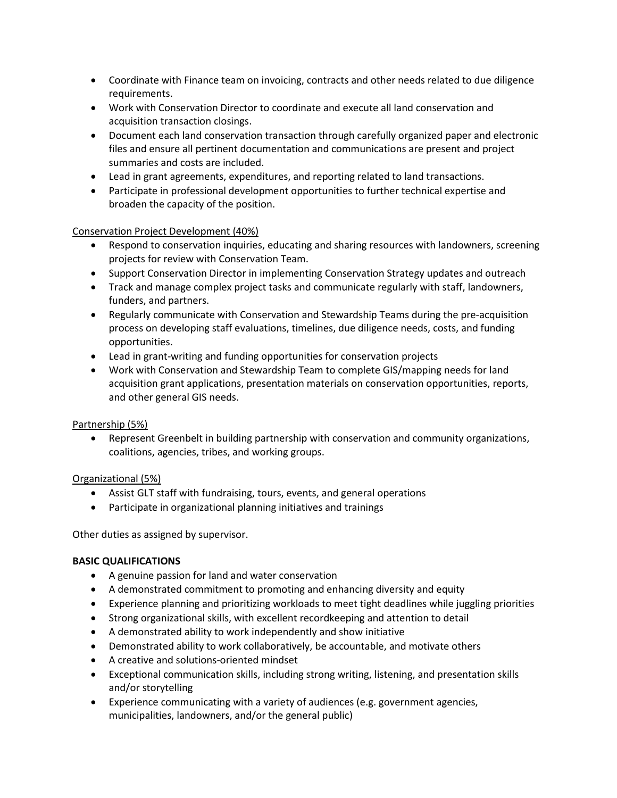- Coordinate with Finance team on invoicing, contracts and other needs related to due diligence requirements.
- Work with Conservation Director to coordinate and execute all land conservation and acquisition transaction closings.
- Document each land conservation transaction through carefully organized paper and electronic files and ensure all pertinent documentation and communications are present and project summaries and costs are included.
- Lead in grant agreements, expenditures, and reporting related to land transactions.
- Participate in professional development opportunities to further technical expertise and broaden the capacity of the position.

Conservation Project Development (40%)

- Respond to conservation inquiries, educating and sharing resources with landowners, screening projects for review with Conservation Team.
- Support Conservation Director in implementing Conservation Strategy updates and outreach
- Track and manage complex project tasks and communicate regularly with staff, landowners, funders, and partners.
- Regularly communicate with Conservation and Stewardship Teams during the pre-acquisition process on developing staff evaluations, timelines, due diligence needs, costs, and funding opportunities.
- Lead in grant-writing and funding opportunities for conservation projects
- Work with Conservation and Stewardship Team to complete GIS/mapping needs for land acquisition grant applications, presentation materials on conservation opportunities, reports, and other general GIS needs.

# Partnership (5%)

• Represent Greenbelt in building partnership with conservation and community organizations, coalitions, agencies, tribes, and working groups.

# Organizational (5%)

- Assist GLT staff with fundraising, tours, events, and general operations
- Participate in organizational planning initiatives and trainings

Other duties as assigned by supervisor.

# **BASIC QUALIFICATIONS**

- A genuine passion for land and water conservation
- A demonstrated commitment to promoting and enhancing diversity and equity
- Experience planning and prioritizing workloads to meet tight deadlines while juggling priorities
- Strong organizational skills, with excellent recordkeeping and attention to detail
- A demonstrated ability to work independently and show initiative
- Demonstrated ability to work collaboratively, be accountable, and motivate others
- A creative and solutions-oriented mindset
- Exceptional communication skills, including strong writing, listening, and presentation skills and/or storytelling
- Experience communicating with a variety of audiences (e.g. government agencies, municipalities, landowners, and/or the general public)